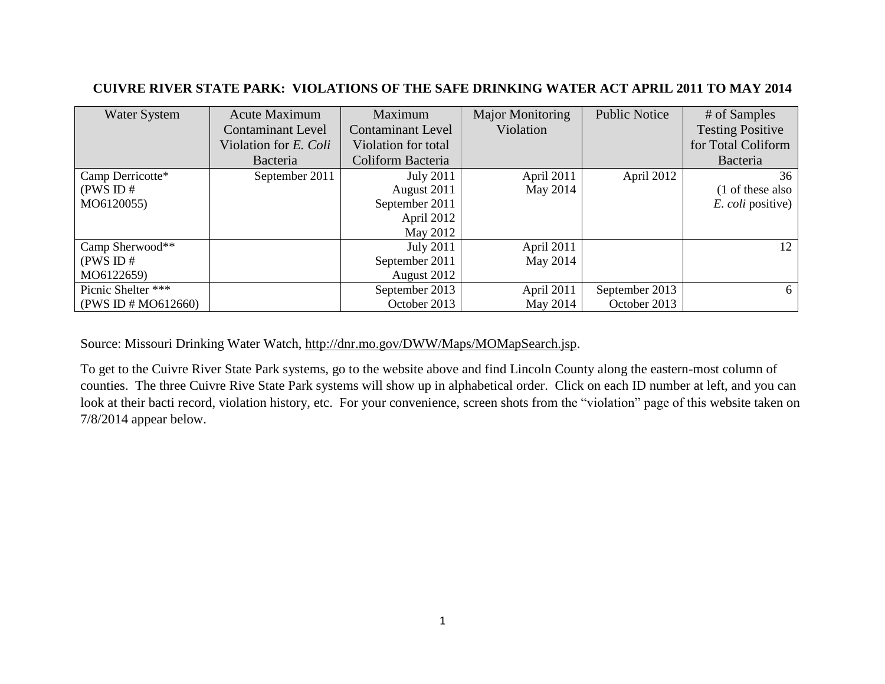## **CUIVRE RIVER STATE PARK: VIOLATIONS OF THE SAFE DRINKING WATER ACT APRIL 2011 TO MAY 2014**

| <b>Water System</b> | <b>Acute Maximum</b>     | Maximum                  | <b>Major Monitoring</b> | <b>Public Notice</b> | # of Samples             |
|---------------------|--------------------------|--------------------------|-------------------------|----------------------|--------------------------|
|                     | <b>Contaminant Level</b> | <b>Contaminant Level</b> | Violation               |                      | <b>Testing Positive</b>  |
|                     | Violation for E. Coli    | Violation for total      |                         |                      | for Total Coliform       |
|                     | Bacteria                 | Coliform Bacteria        |                         |                      | Bacteria                 |
| Camp Derricotte*    | September 2011           | <b>July 2011</b>         | April 2011              | April 2012           | 36                       |
| (PWS ID#            |                          | August 2011              | May 2014                |                      | (1 of these also         |
| MO6120055)          |                          | September 2011           |                         |                      | <i>E. coli</i> positive) |
|                     |                          | April 2012               |                         |                      |                          |
|                     |                          | May 2012                 |                         |                      |                          |
| Camp Sherwood**     |                          | <b>July 2011</b>         | April 2011              |                      | 12                       |
| (PWSID#             |                          | September 2011           | May 2014                |                      |                          |
| MO6122659)          |                          | August 2012              |                         |                      |                          |
| Picnic Shelter ***  |                          | September 2013           | April 2011              | September 2013       | 6                        |
| (PWS ID # MO612660) |                          | October 2013             | May 2014                | October 2013         |                          |

Source: Missouri Drinking Water Watch, [http://dnr.mo.gov/DWW/Maps/MOMapSearch.jsp.](http://dnr.mo.gov/DWW/Maps/MOMapSearch.jsp)

To get to the Cuivre River State Park systems, go to the website above and find Lincoln County along the eastern-most column of counties. The three Cuivre Rive State Park systems will show up in alphabetical order. Click on each ID number at left, and you can look at their bacti record, violation history, etc. For your convenience, screen shots from the "violation" page of this website taken on 7/8/2014 appear below.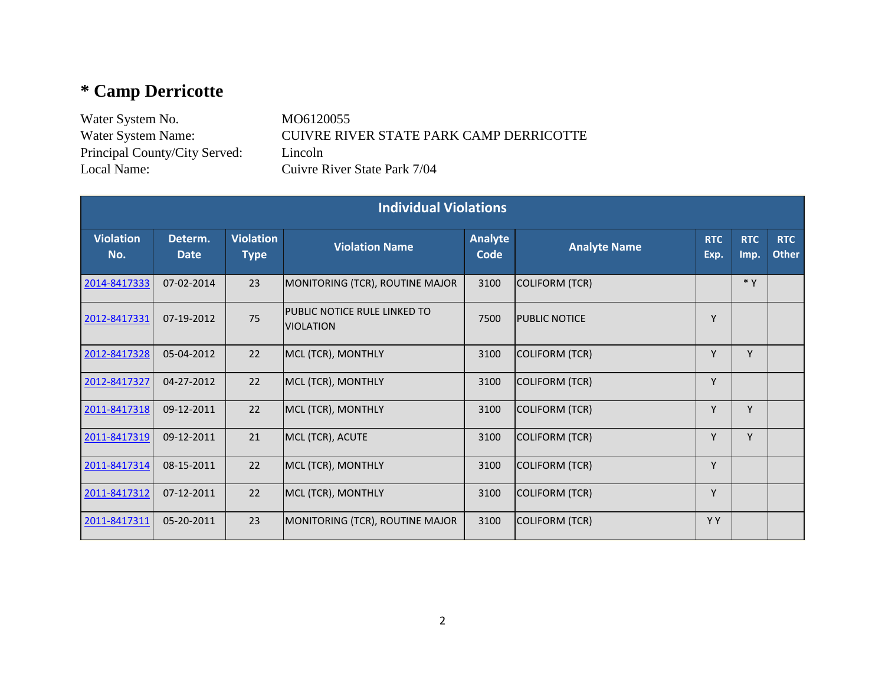## **\* Camp Derricotte**

Water System No. MO6120055 Principal County/City Served: Lincoln Local Name: Cuivre River State Park 7/04

Water System Name: CUIVRE RIVER STATE PARK CAMP DERRICOTTE

| <b>Individual Violations</b> |                        |                                 |                                                         |                        |                       |                    |                    |                            |  |
|------------------------------|------------------------|---------------------------------|---------------------------------------------------------|------------------------|-----------------------|--------------------|--------------------|----------------------------|--|
| <b>Violation</b><br>No.      | Determ.<br><b>Date</b> | <b>Violation</b><br><b>Type</b> | <b>Violation Name</b>                                   | <b>Analyte</b><br>Code | <b>Analyte Name</b>   | <b>RTC</b><br>Exp. | <b>RTC</b><br>Imp. | <b>RTC</b><br><b>Other</b> |  |
| 2014-8417333                 | 07-02-2014             | 23                              | MONITORING (TCR), ROUTINE MAJOR                         | 3100                   | <b>COLIFORM (TCR)</b> |                    | $*$ Y              |                            |  |
| 2012-8417331                 | 07-19-2012             | 75                              | <b>PUBLIC NOTICE RULE LINKED TO</b><br><b>VIOLATION</b> | 7500                   | <b>IPUBLIC NOTICE</b> | Y                  |                    |                            |  |
| 2012-8417328                 | 05-04-2012             | 22                              | MCL (TCR), MONTHLY                                      | 3100                   | <b>COLIFORM (TCR)</b> | Y                  | Y                  |                            |  |
| 2012-8417327                 | 04-27-2012             | 22                              | MCL (TCR), MONTHLY                                      | 3100                   | <b>COLIFORM (TCR)</b> | Υ                  |                    |                            |  |
| 2011-8417318                 | 09-12-2011             | 22                              | MCL (TCR), MONTHLY                                      | 3100                   | COLIFORM (TCR)        | Y                  | Y                  |                            |  |
| 2011-8417319                 | 09-12-2011             | 21                              | MCL (TCR), ACUTE                                        | 3100                   | COLIFORM (TCR)        | Y                  | Y                  |                            |  |
| 2011-8417314                 | 08-15-2011             | 22                              | MCL (TCR), MONTHLY                                      | 3100                   | COLIFORM (TCR)        | Y                  |                    |                            |  |
| 2011-8417312                 | 07-12-2011             | 22                              | MCL (TCR), MONTHLY                                      | 3100                   | <b>COLIFORM (TCR)</b> | Y                  |                    |                            |  |
| 2011-8417311                 | 05-20-2011             | 23                              | MONITORING (TCR), ROUTINE MAJOR                         | 3100                   | COLIFORM (TCR)        | Y Y                |                    |                            |  |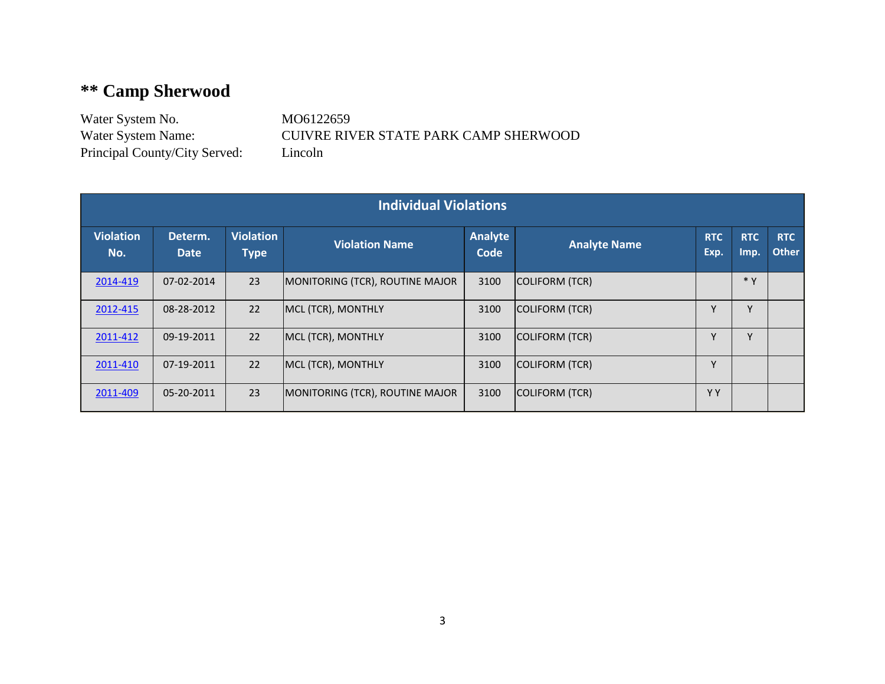## **\*\* Camp Sherwood**

Water System No. MO6122659 Principal County/City Served: Lincoln

Water System Name: CUIVRE RIVER STATE PARK CAMP SHERWOOD

| <b>Individual Violations</b> |                        |                                 |                                        |                 |                     |                    |                    |                            |  |
|------------------------------|------------------------|---------------------------------|----------------------------------------|-----------------|---------------------|--------------------|--------------------|----------------------------|--|
| <b>Violation</b><br>No.      | Determ.<br><b>Date</b> | <b>Violation</b><br><b>Type</b> | <b>Violation Name</b>                  | Analyte<br>Code | <b>Analyte Name</b> | <b>RTC</b><br>Exp. | <b>RTC</b><br>Imp. | <b>RTC</b><br><b>Other</b> |  |
| 2014-419                     | 07-02-2014             | 23                              | <b>MONITORING (TCR), ROUTINE MAJOR</b> | 3100            | COLIFORM (TCR)      |                    | $*$ Y              |                            |  |
| 2012-415                     | 08-28-2012             | 22                              | MCL (TCR), MONTHLY                     | 3100            | COLIFORM (TCR)      |                    | $\vee$             |                            |  |
| 2011-412                     | 09-19-2011             | 22                              | MCL (TCR), MONTHLY                     | 3100            | COLIFORM (TCR)      | v                  | $\checkmark$       |                            |  |
| 2011-410                     | 07-19-2011             | 22                              | MCL (TCR), MONTHLY                     | 3100            | COLIFORM (TCR)      |                    |                    |                            |  |
| 2011-409                     | 05-20-2011             | 23                              | MONITORING (TCR), ROUTINE MAJOR        | 3100            | COLIFORM (TCR)      | Y Y                |                    |                            |  |